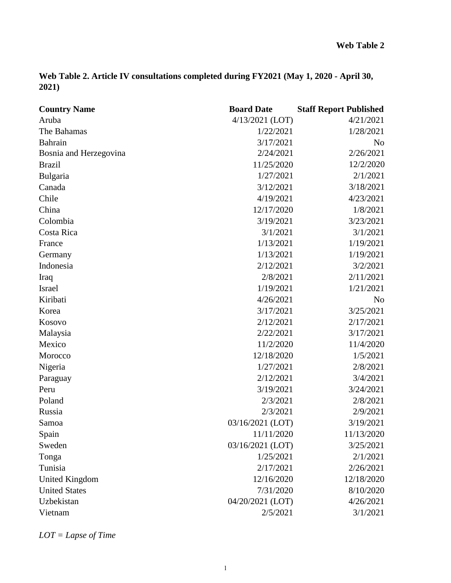|       | Web Table 2. Article IV consultations completed during FY2021 (May 1, 2020 - April 30, |  |  |
|-------|----------------------------------------------------------------------------------------|--|--|
| 2021) |                                                                                        |  |  |

| <b>Country Name</b>    | <b>Board Date</b> | <b>Staff Report Published</b> |
|------------------------|-------------------|-------------------------------|
| Aruba                  | 4/13/2021 (LOT)   | 4/21/2021                     |
| The Bahamas            | 1/22/2021         | 1/28/2021                     |
| Bahrain                | 3/17/2021         | N <sub>o</sub>                |
| Bosnia and Herzegovina | 2/24/2021         | 2/26/2021                     |
| <b>Brazil</b>          | 11/25/2020        | 12/2/2020                     |
| Bulgaria               | 1/27/2021         | 2/1/2021                      |
| Canada                 | 3/12/2021         | 3/18/2021                     |
| Chile                  | 4/19/2021         | 4/23/2021                     |
| China                  | 12/17/2020        | 1/8/2021                      |
| Colombia               | 3/19/2021         | 3/23/2021                     |
| Costa Rica             | 3/1/2021          | 3/1/2021                      |
| France                 | 1/13/2021         | 1/19/2021                     |
| Germany                | 1/13/2021         | 1/19/2021                     |
| Indonesia              | 2/12/2021         | 3/2/2021                      |
| Iraq                   | 2/8/2021          | 2/11/2021                     |
| Israel                 | 1/19/2021         | 1/21/2021                     |
| Kiribati               | 4/26/2021         | No                            |
| Korea                  | 3/17/2021         | 3/25/2021                     |
| Kosovo                 | 2/12/2021         | 2/17/2021                     |
| Malaysia               | 2/22/2021         | 3/17/2021                     |
| Mexico                 | 11/2/2020         | 11/4/2020                     |
| Morocco                | 12/18/2020        | 1/5/2021                      |
| Nigeria                | 1/27/2021         | 2/8/2021                      |
| Paraguay               | 2/12/2021         | 3/4/2021                      |
| Peru                   | 3/19/2021         | 3/24/2021                     |
| Poland                 | 2/3/2021          | 2/8/2021                      |
| Russia                 | 2/3/2021          | 2/9/2021                      |
| Samoa                  | 03/16/2021 (LOT)  | 3/19/2021                     |
| Spain                  | 11/11/2020        | 11/13/2020                    |
| Sweden                 | 03/16/2021 (LOT)  | 3/25/2021                     |
| Tonga                  | 1/25/2021         | 2/1/2021                      |
| Tunisia                | 2/17/2021         | 2/26/2021                     |
| <b>United Kingdom</b>  | 12/16/2020        | 12/18/2020                    |
| <b>United States</b>   | 7/31/2020         | 8/10/2020                     |
| Uzbekistan             | 04/20/2021 (LOT)  | 4/26/2021                     |
| Vietnam                | 2/5/2021          | 3/1/2021                      |

*LOT = Lapse of Time*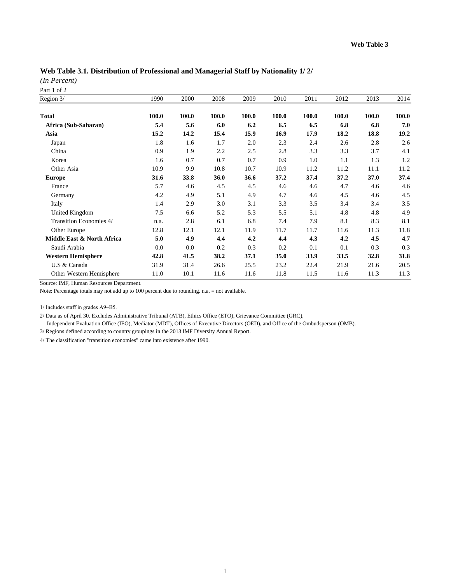# **Web Table 3.1. Distribution of Professional and Managerial Staff by Nationality 1/ 2/**

*(In Percent)*

Part 1 of 2

| Region 3/                  | 1990  | 2000  | 2008    | 2009  | 2010  | 2011  | 2012  | 2013  | 2014  |
|----------------------------|-------|-------|---------|-------|-------|-------|-------|-------|-------|
| <b>Total</b>               | 100.0 | 100.0 | 100.0   | 100.0 | 100.0 | 100.0 | 100.0 | 100.0 | 100.0 |
| Africa (Sub-Saharan)       | 5.4   | 5.6   | 6.0     | 6.2   | 6.5   | 6.5   | 6.8   | 6.8   | 7.0   |
| Asia                       | 15.2  | 14.2  | 15.4    | 15.9  | 16.9  | 17.9  | 18.2  | 18.8  | 19.2  |
| Japan                      | 1.8   | 1.6   | 1.7     | 2.0   | 2.3   | 2.4   | 2.6   | 2.8   | 2.6   |
| China                      | 0.9   | 1.9   | $2.2\,$ | 2.5   | 2.8   | 3.3   | 3.3   | 3.7   | 4.1   |
| Korea                      | 1.6   | 0.7   | 0.7     | 0.7   | 0.9   | 1.0   | 1.1   | 1.3   | 1.2   |
| Other Asia                 | 10.9  | 9.9   | 10.8    | 10.7  | 10.9  | 11.2  | 11.2  | 11.1  | 11.2  |
| <b>Europe</b>              | 31.6  | 33.8  | 36.0    | 36.6  | 37.2  | 37.4  | 37.2  | 37.0  | 37.4  |
| France                     | 5.7   | 4.6   | 4.5     | 4.5   | 4.6   | 4.6   | 4.7   | 4.6   | 4.6   |
| Germany                    | 4.2   | 4.9   | 5.1     | 4.9   | 4.7   | 4.6   | 4.5   | 4.6   | 4.5   |
| Italy                      | 1.4   | 2.9   | 3.0     | 3.1   | 3.3   | 3.5   | 3.4   | 3.4   | 3.5   |
| United Kingdom             | 7.5   | 6.6   | 5.2     | 5.3   | 5.5   | 5.1   | 4.8   | 4.8   | 4.9   |
| Transition Economies 4/    | n.a.  | 2.8   | 6.1     | 6.8   | 7.4   | 7.9   | 8.1   | 8.3   | 8.1   |
| Other Europe               | 12.8  | 12.1  | 12.1    | 11.9  | 11.7  | 11.7  | 11.6  | 11.3  | 11.8  |
| Middle East & North Africa | 5.0   | 4.9   | 4.4     | 4.2   | 4.4   | 4.3   | 4.2   | 4.5   | 4.7   |
| Saudi Arabia               | 0.0   | 0.0   | 0.2     | 0.3   | 0.2   | 0.1   | 0.1   | 0.3   | 0.3   |
| <b>Western Hemisphere</b>  | 42.8  | 41.5  | 38.2    | 37.1  | 35.0  | 33.9  | 33.5  | 32.8  | 31.8  |
| U.S & Canada               | 31.9  | 31.4  | 26.6    | 25.5  | 23.2  | 22.4  | 21.9  | 21.6  | 20.5  |
| Other Western Hemisphere   | 11.0  | 10.1  | 11.6    | 11.6  | 11.8  | 11.5  | 11.6  | 11.3  | 11.3  |

Source: IMF, Human Resources Department.

Note: Percentage totals may not add up to 100 percent due to rounding. n.a. = not available.

1/ Includes staff in grades A9–B5.

2/ Data as of April 30. Excludes Administrative Tribunal (ATB), Ethics Office (ETO), Grievance Committee (GRC),

Independent Evaluation Office (IEO), Mediator (MDT), Offices of Executive Directors (OED), and Office of the Ombudsperson (OMB).

3/ Regions defined according to country groupings in the 2013 IMF Diversity Annual Report.

4/ The classification "transition economies" came into existence after 1990.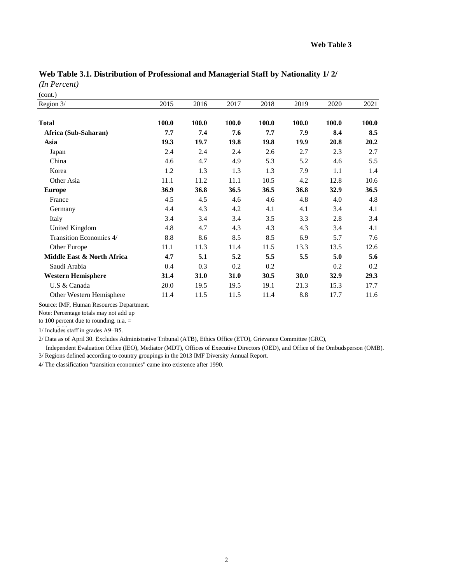| Region 3/                  | 2015  | 2016  | 2017  | 2018  | 2019  | 2020  | 2021  |
|----------------------------|-------|-------|-------|-------|-------|-------|-------|
| <b>Total</b>               | 100.0 | 100.0 | 100.0 | 100.0 | 100.0 | 100.0 | 100.0 |
| Africa (Sub-Saharan)       | 7.7   | 7.4   | 7.6   | 7.7   | 7.9   | 8.4   | 8.5   |
| Asia                       | 19.3  | 19.7  | 19.8  | 19.8  | 19.9  | 20.8  | 20.2  |
| Japan                      | 2.4   | 2.4   | 2.4   | 2.6   | 2.7   | 2.3   | 2.7   |
| China                      | 4.6   | 4.7   | 4.9   | 5.3   | 5.2   | 4.6   | 5.5   |
| Korea                      | 1.2   | 1.3   | 1.3   | 1.3   | 7.9   | 1.1   | 1.4   |
| Other Asia                 | 11.1  | 11.2  | 11.1  | 10.5  | 4.2   | 12.8  | 10.6  |
| <b>Europe</b>              | 36.9  | 36.8  | 36.5  | 36.5  | 36.8  | 32.9  | 36.5  |
| France                     | 4.5   | 4.5   | 4.6   | 4.6   | 4.8   | 4.0   | 4.8   |
| Germany                    | 4.4   | 4.3   | 4.2   | 4.1   | 4.1   | 3.4   | 4.1   |
| Italy                      | 3.4   | 3.4   | 3.4   | 3.5   | 3.3   | 2.8   | 3.4   |
| United Kingdom             | 4.8   | 4.7   | 4.3   | 4.3   | 4.3   | 3.4   | 4.1   |
| Transition Economies 4/    | 8.8   | 8.6   | 8.5   | 8.5   | 6.9   | 5.7   | 7.6   |
| Other Europe               | 11.1  | 11.3  | 11.4  | 11.5  | 13.3  | 13.5  | 12.6  |
| Middle East & North Africa | 4.7   | 5.1   | 5.2   | 5.5   | 5.5   | 5.0   | 5.6   |
| Saudi Arabia               | 0.4   | 0.3   | 0.2   | 0.2   |       | 0.2   | 0.2   |
| <b>Western Hemisphere</b>  | 31.4  | 31.0  | 31.0  | 30.5  | 30.0  | 32.9  | 29.3  |
| U.S & Canada               | 20.0  | 19.5  | 19.5  | 19.1  | 21.3  | 15.3  | 17.7  |
| Other Western Hemisphere   | 11.4  | 11.5  | 11.5  | 11.4  | 8.8   | 17.7  | 11.6  |

*(In Percent)*

(cont.)

Source: IMF, Human Resources Department.

Note: Percentage totals may not add up

to 100 percent due to rounding. n.a. =

 $1/$  Includes staff in grades A9-B5.

2/ Data as of April 30. Excludes Administrative Tribunal (ATB), Ethics Office (ETO), Grievance Committee (GRC),

 Independent Evaluation Office (IEO), Mediator (MDT), Offices of Executive Directors (OED), and Office of the Ombudsperson (OMB). 3/ Regions defined according to country groupings in the 2013 IMF Diversity Annual Report.

4/ The classification "transition economies" came into existence after 1990.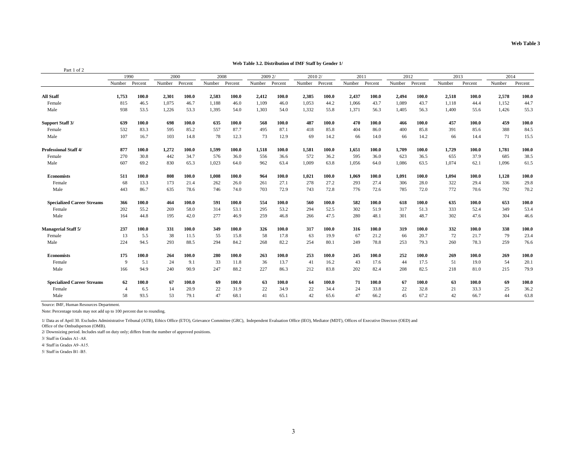| Part 1 of 2                       |                |       |                |                         |                |       |                 |       |                |       |                |       |        |         |        |         |        |         |
|-----------------------------------|----------------|-------|----------------|-------------------------|----------------|-------|-----------------|-------|----------------|-------|----------------|-------|--------|---------|--------|---------|--------|---------|
|                                   | 1990           |       |                | 2000<br>2008<br>2009 2/ |                |       | 2010 2/<br>2011 |       | 2012           |       | 2013           |       | 2014   |         |        |         |        |         |
|                                   | Number Percent |       | Number Percent |                         | Number Percent |       | Number Percent  |       | Number Percent |       | Number Percent |       | Number | Percent | Number | Percent | Number | Percent |
| <b>All Staff</b>                  | 1,753          | 100.0 | 2,301          | 100.0                   | 2,583          | 100.0 | 2,412           | 100.0 | 2,385          | 100.0 | 2,437          | 100.0 | 2,494  | 100.0   | 2,518  | 100.0   | 2,578  | 100.0   |
| Female                            | 815            | 46.5  | 1,075          | 46.7                    | 1,188          | 46.0  | 1,109           | 46.0  | 1,053          | 44.2  | 1,066          | 43.7  | 1,089  | 43.7    | 1,118  | 44.4    | 1,152  | 44.7    |
| Male                              | 938            | 53.5  | 1,226          | 53.3                    | 1,395          | 54.0  | 1,303           | 54.0  | 1,332          | 55.8  | 1,371          | 56.3  | 1,405  | 56.3    | 1,400  | 55.6    | 1,426  | 55.3    |
| Support Staff 3/                  | 639            | 100.0 | 698            | 100.0                   | 635            | 100.0 | 568             | 100.0 | 487            | 100.0 | 470            | 100.0 | 466    | 100.0   | 457    | 100.0   | 459    | 100.0   |
| Female                            | 532            | 83.3  | 595            | 85.2                    | 557            | 87.7  | 495             | 87.1  | 418            | 85.8  | 404            | 86.0  | 400    | 85.8    | 391    | 85.6    | 388    | 84.5    |
| Male                              | 107            | 16.7  | 103            | 14.8                    | 78             | 12.3  | 73              | 12.9  | 69             | 14.2  | 66             | 14.0  | 66     | 14.2    | 66     | 14.4    | 71     | 15.5    |
| <b>Professional Staff 4/</b>      | 877            | 100.0 | 1,272          | 100.0                   | 1,599          | 100.0 | 1,518           | 100.0 | 1,581          | 100.0 | 1,651          | 100.0 | 1,709  | 100.0   | 1,729  | 100.0   | 1,781  | 100.0   |
| Female                            | 270            | 30.8  | 442            | 34.7                    | 576            | 36.0  | 556             | 36.6  | 572            | 36.2  | 595            | 36.0  | 623    | 36.5    | 655    | 37.9    | 685    | 38.5    |
| Male                              | 607            | 69.2  | 830            | 65.3                    | 1,023          | 64.0  | 962             | 63.4  | 1,009          | 63.8  | 1,056          | 64.0  | 1,086  | 63.5    | 1,074  | 62.1    | 1,096  | 61.5    |
| <b>Economists</b>                 | 511            | 100.0 | 808            | 100.0                   | 1,008          | 100.0 | 964             | 100.0 | 1,021          | 100.0 | 1,069          | 100.0 | 1,091  | 100.0   | 1,094  | 100.0   | 1,128  | 100.0   |
| Female                            | 68             | 13.3  | 173            | 21.4                    | 262            | 26.0  | 261             | 27.1  | 278            | 27.2  | 293            | 27.4  | 306    | 28.0    | 322    | 29.4    | 336    | 29.8    |
| Male                              | 443            | 86.7  | 635            | 78.6                    | 746            | 74.0  | 703             | 72.9  | 743            | 72.8  | 776            | 72.6  | 785    | 72.0    | 772    | 70.6    | 792    | 70.2    |
| <b>Specialized Career Streams</b> | 366            | 100.0 | 464            | 100.0                   | 591            | 100.0 | 554             | 100.0 | 560            | 100.0 | 582            | 100.0 | 618    | 100.0   | 635    | 100.0   | 653    | 100.0   |
| Female                            | 202            | 55.2  | 269            | 58.0                    | 314            | 53.1  | 295             | 53.2  | 294            | 52.5  | 302            | 51.9  | 317    | 51.3    | 333    | 52.4    | 349    | 53.4    |
| Male                              | 164            | 44.8  | 195            | 42.0                    | 277            | 46.9  | 259             | 46.8  | 266            | 47.5  | 280            | 48.1  | 301    | 48.7    | 302    | 47.6    | 304    | 46.6    |
| <b>Managerial Staff 5/</b>        | 237            | 100.0 | 331            | 100.0                   | 349            | 100.0 | 326             | 100.0 | 317            | 100.0 | 316            | 100.0 | 319    | 100.0   | 332    | 100.0   | 338    | 100.0   |
| Female                            | 13             | 5.5   | 38             | 11.5                    | 55             | 15.8  | 58              | 17.8  | 63             | 19.9  | 67             | 21.2  | 66     | 20.7    | 72     | 21.7    | 79     | 23.4    |
| Male                              | 224            | 94.5  | 293            | 88.5                    | 294            | 84.2  | 268             | 82.2  | 254            | 80.1  | 249            | 78.8  | 253    | 79.3    | 260    | 78.3    | 259    | 76.6    |
| <b>Economists</b>                 | 175            | 100.0 | 264            | 100.0                   | 280            | 100.0 | 263             | 100.0 | 253            | 100.0 | 245            | 100.0 | 252    | 100.0   | 269    | 100.0   | 269    | 100.0   |
| Female                            | -9             | 5.1   | 24             | 9.1                     | 33             | 11.8  | 36              | 13.7  | 41             | 16.2  | 43             | 17.6  | 44     | 17.5    | 51     | 19.0    | 54     | 20.1    |
| Male                              | 166            | 94.9  | 240            | 90.9                    | 247            | 88.2  | 227             | 86.3  | 212            | 83.8  | 202            | 82.4  | 208    | 82.5    | 218    | 81.0    | 215    | 79.9    |
| <b>Specialized Career Streams</b> | 62             | 100.0 | 67             | 100.0                   | 69             | 100.0 | 63              | 100.0 | 64             | 100.0 | 71             | 100.0 | 67     | 100.0   | 63     | 100.0   | 69     | 100.0   |
| Female                            | $\overline{A}$ | 6.5   | 14             | 20.9                    | 22             | 31.9  | 22              | 34.9  | 22             | 34.4  | 24             | 33.8  | 22     | 32.8    | 21     | 33.3    | 25     | 36.2    |
| Male                              | 58             | 93.5  | 53             | 79.1                    | 47             | 68.1  | 41              | 65.1  | 42             | 65.6  | 47             | 66.2  | 45     | 67.2    | 42     | 66.7    | 44     | 63.8    |

**Web Table 3.2. Distribution of IMF Staff by Gender 1/**

Source: IMF, Human Resources Department.

Note: Percentage totals may not add up to 100 percent due to rounding.

1/ Data as of April 30. Excludes Administrative Tribunal (ATB), Ethics Office (ETO), Grievance Committee (GRC), Independent Evaluation Office (IEO), Mediator (MDT), Offices of Executive Directors (OED) and

Office of the Ombudsperson (OMB).

2/ Downsizing period. Includes staff on duty only; differs from the number of approved positions.

3/ Staff in Grades A1–A8.

4/ Staff in Grades A9–A15.

5/ Staff in Grades B1–B5.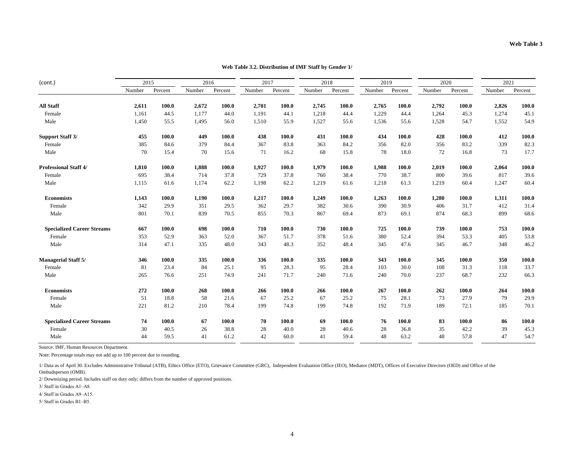|                                   |        |         |        |         |        | 2018    |        | 2019    |        | 2020    |        | 2021    |        |         |
|-----------------------------------|--------|---------|--------|---------|--------|---------|--------|---------|--------|---------|--------|---------|--------|---------|
| (cont.)                           | 2015   |         | 2016   |         | 2017   |         |        |         |        |         |        |         |        |         |
|                                   | Number | Percent | Number | Percent | Number | Percent | Number | Percent | Number | Percent | Number | Percent | Number | Percent |
| <b>All Staff</b>                  | 2,611  | 100.0   | 2,672  | 100.0   | 2,701  | 100.0   | 2,745  | 100.0   | 2,765  | 100.0   | 2,792  | 100.0   | 2,826  | 100.0   |
| Female                            | 1,161  | 44.5    | 1,177  | 44.0    | 1,191  | 44.1    | 1,218  | 44.4    | 1,229  | 44.4    | 1,264  | 45.3    | 1,274  | 45.1    |
| Male                              | 1,450  | 55.5    | 1,495  | 56.0    | 1,510  | 55.9    | 1,527  | 55.6    | 1,536  | 55.6    | 1,528  | 54.7    | 1,552  | 54.9    |
| <b>Support Staff 3/</b>           | 455    | 100.0   | 449    | 100.0   | 438    | 100.0   | 431    | 100.0   | 434    | 100.0   | 428    | 100.0   | 412    | 100.0   |
| Female                            | 385    | 84.6    | 379    | 84.4    | 367    | 83.8    | 363    | 84.2    | 356    | 82.0    | 356    | 83.2    | 339    | 82.3    |
| Male                              | 70     | 15.4    | 70     | 15.6    | 71     | 16.2    | 68     | 15.8    | 78     | 18.0    | 72     | 16.8    | 73     | 17.7    |
| <b>Professional Staff 4/</b>      | 1,810  | 100.0   | 1,888  | 100.0   | 1,927  | 100.0   | 1,979  | 100.0   | 1,988  | 100.0   | 2,019  | 100.0   | 2,064  | 100.0   |
| Female                            | 695    | 38.4    | 714    | 37.8    | 729    | 37.8    | 760    | 38.4    | 770    | 38.7    | 800    | 39.6    | 817    | 39.6    |
| Male                              | 1,115  | 61.6    | 1,174  | 62.2    | 1,198  | 62.2    | 1,219  | 61.6    | 1,218  | 61.3    | 1,219  | 60.4    | 1,247  | 60.4    |
| <b>Economists</b>                 | 1,143  | 100.0   | 1,190  | 100.0   | 1,217  | 100.0   | 1,249  | 100.0   | 1,263  | 100.0   | 1,280  | 100.0   | 1,311  | 100.0   |
| Female                            | 342    | 29.9    | 351    | 29.5    | 362    | 29.7    | 382    | 30.6    | 390    | 30.9    | 406    | 31.7    | 412    | 31.4    |
| Male                              | 801    | 70.1    | 839    | 70.5    | 855    | 70.3    | 867    | 69.4    | 873    | 69.1    | 874    | 68.3    | 899    | 68.6    |
| <b>Specialized Career Streams</b> | 667    | 100.0   | 698    | 100.0   | 710    | 100.0   | 730    | 100.0   | 725    | 100.0   | 739    | 100.0   | 753    | 100.0   |
| Female                            | 353    | 52.9    | 363    | 52.0    | 367    | 51.7    | 378    | 51.6    | 380    | 52.4    | 394    | 53.3    | 405    | 53.8    |
| Male                              | 314    | 47.1    | 335    | 48.0    | 343    | 48.3    | 352    | 48.4    | 345    | 47.6    | 345    | 46.7    | 348    | 46.2    |
| <b>Managerial Staff 5/</b>        | 346    | 100.0   | 335    | 100.0   | 336    | 100.0   | 335    | 100.0   | 343    | 100.0   | 345    | 100.0   | 350    | 100.0   |
| Female                            | 81     | 23.4    | 84     | 25.1    | 95     | 28.3    | 95     | 28.4    | 103    | 30.0    | 108    | 31.3    | 118    | 33.7    |
| Male                              | 265    | 76.6    | 251    | 74.9    | 241    | 71.7    | 240    | 71.6    | 240    | 70.0    | 237    | 68.7    | 232    | 66.3    |
| <b>Economists</b>                 | 272    | 100.0   | 268    | 100.0   | 266    | 100.0   | 266    | 100.0   | 267    | 100.0   | 262    | 100.0   | 264    | 100.0   |
| Female                            | 51     | 18.8    | 58     | 21.6    | 67     | 25.2    | 67     | 25.2    | 75     | 28.1    | 73     | 27.9    | 79     | 29.9    |
| Male                              | 221    | 81.2    | 210    | 78.4    | 199    | 74.8    | 199    | 74.8    | 192    | 71.9    | 189    | 72.1    | 185    | 70.1    |
| <b>Specialized Career Streams</b> | 74     | 100.0   | 67     | 100.0   | 70     | 100.0   | 69     | 100.0   | 76     | 100.0   | 83     | 100.0   | 86     | 100.0   |
| Female                            | 30     | 40.5    | 26     | 38.8    | 28     | 40.0    | 28     | 40.6    | 28     | 36.8    | 35     | 42.2    | 39     | 45.3    |
| Male                              | 44     | 59.5    | 41     | 61.2    | 42     | 60.0    | 41     | 59.4    | 48     | 63.2    | 48     | 57.8    | 47     | 54.7    |

### **Web Table 3.2. Distribution of IMF Staff by Gender 1/**

Source: IMF, Human Resources Department.

Note: Percentage totals may not add up to 100 percent due to rounding.

1/ Data as of April 30. Excludes Administrative Tribunal (ATB), Ethics Office (ETO), Grievance Committee (GRC), Independent Evaluation Office (IEO), Mediator (MDT), Offices of Executive Directors (OED) and Office of the Ombudsperson (OMB).

2/ Downsizing period. Includes staff on duty only; differs from the number of approved positions.

3/ Staff in Grades A1–A8.

4/ Staff in Grades A9–A15.

5/ Staff in Grades B1–B5.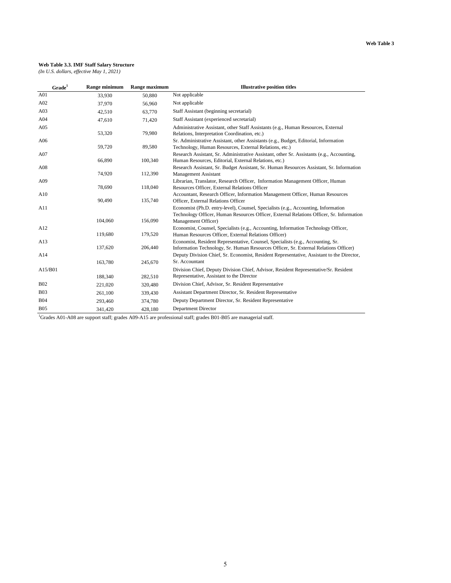#### **Web Table 3.3. IMF Staff Salary Structure**

*(In U.S. dollars, effective May 1, 2021)*

| Grade <sup>1</sup> | Range minimum | Range maximum | <b>Illustrative position titles</b>                                                                                                                                            |
|--------------------|---------------|---------------|--------------------------------------------------------------------------------------------------------------------------------------------------------------------------------|
| A01                | 33,930        | 50,880        | Not applicable                                                                                                                                                                 |
| A02                | 37,970        | 56,960        | Not applicable                                                                                                                                                                 |
| A03                | 42,510        | 63,770        | Staff Assistant (beginning secretarial)                                                                                                                                        |
| A04                | 47,610        | 71,420        | Staff Assistant (experienced secretarial)                                                                                                                                      |
| A05                | 53,320        | 79,980        | Administrative Assistant, other Staff Assistants (e.g., Human Resources, External<br>Relations, Interpretation Coordination, etc.)                                             |
| A06                | 59,720        | 89,580        | Sr. Administrative Assistant, other Assistants (e.g., Budget, Editorial, Information<br>Technology, Human Resources, External Relations, etc.)                                 |
| A07                | 66,890        | 100,340       | Research Assistant, Sr. Administrative Assistant, other Sr. Assistants (e.g., Accounting,<br>Human Resources, Editorial, External Relations, etc.)                             |
| A08                | 74,920        | 112,390       | Research Assistant, Sr. Budget Assistant, Sr. Human Resources Assistant, Sr. Information<br><b>Management Assistant</b>                                                        |
| A09                | 78,690        | 118,040       | Librarian, Translator, Research Officer, Information Management Officer, Human<br>Resources Officer, External Relations Officer                                                |
| A10                | 90,490        | 135,740       | Accountant, Research Officer, Information Management Officer, Human Resources<br>Officer, External Relations Officer                                                           |
| A11                |               |               | Economist (Ph.D. entry-level), Counsel, Specialists (e.g., Accounting, Information<br>Technology Officer, Human Resources Officer, External Relations Officer, Sr. Information |
|                    | 104,060       | 156,090       | Management Officer)                                                                                                                                                            |
| A12                | 119,680       | 179,520       | Economist, Counsel, Specialists (e.g., Accounting, Information Technology Officer,<br>Human Resources Officer, External Relations Officer)                                     |
| A13                | 137,620       | 206,440       | Economist, Resident Representative, Counsel, Specialists (e.g., Accounting, Sr.<br>Information Technology, Sr. Human Resources Officer, Sr. External Relations Officer)        |
| A14                | 163,780       | 245,670       | Deputy Division Chief, Sr. Economist, Resident Representative, Assistant to the Director,<br>Sr. Accountant                                                                    |
| A15/B01            |               |               | Division Chief, Deputy Division Chief, Advisor, Resident Representative/Sr. Resident<br>Representative, Assistant to the Director                                              |
|                    | 188,340       | 282,510       |                                                                                                                                                                                |
| <b>B02</b>         | 221,020       | 320,480       | Division Chief, Advisor, Sr. Resident Representative                                                                                                                           |
| <b>B03</b>         | 261,100       | 339,430       | Assistant Department Director, Sr. Resident Representative                                                                                                                     |
| <b>B04</b>         | 293,460       | 374,780       | Deputy Department Director, Sr. Resident Representative                                                                                                                        |
| <b>B05</b>         | 341.420       | 428,180       | <b>Department Director</b>                                                                                                                                                     |

<sup>1</sup>Grades A01-A08 are support staff; grades A09-A15 are professional staff; grades B01-B05 are managerial staff.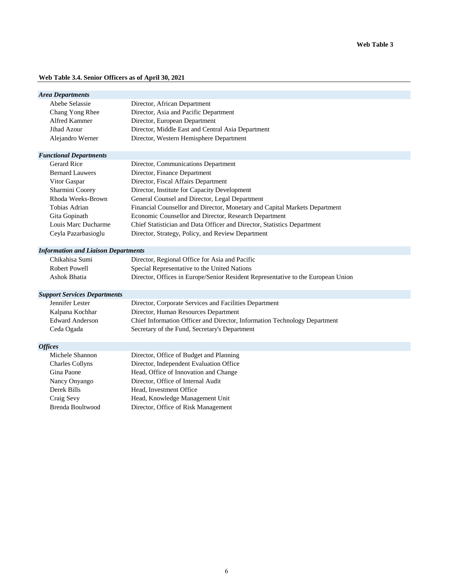### **Web Table 3.4. Senior Officers as of April 30, 2021**

| <b>Area Departments</b>                    |                                                                                  |
|--------------------------------------------|----------------------------------------------------------------------------------|
| Abebe Selassie                             | Director, African Department                                                     |
| Chang Yong Rhee                            | Director, Asia and Pacific Department                                            |
| Alfred Kammer                              | Director, European Department                                                    |
| Jihad Azour                                | Director, Middle East and Central Asia Department                                |
| Alejandro Werner                           | Director, Western Hemisphere Department                                          |
| <b>Functional Departments</b>              |                                                                                  |
| <b>Gerard Rice</b>                         | Director, Communications Department                                              |
| <b>Bernard Lauwers</b>                     | Director, Finance Department                                                     |
| Vitor Gaspar                               | Director, Fiscal Affairs Department                                              |
| Sharmini Coorey                            | Director, Institute for Capacity Development                                     |
| Rhoda Weeks-Brown                          | General Counsel and Director, Legal Department                                   |
| Tobias Adrian                              | Financial Counsellor and Director, Monetary and Capital Markets Department       |
| Gita Gopinath                              | Economic Counsellor and Director, Research Department                            |
| Louis Marc Ducharme                        | Chief Statistician and Data Officer and Director, Statistics Department          |
| Ceyla Pazarbasioglu                        | Director, Strategy, Policy, and Review Department                                |
| <b>Information and Liaison Departments</b> |                                                                                  |
| Chikahisa Sumi                             | Director, Regional Office for Asia and Pacific                                   |
| <b>Robert Powell</b>                       | Special Representative to the United Nations                                     |
| Ashok Bhatia                               | Director, Offices in Europe/Senior Resident Representative to the European Union |
| <b>Support Services Departments</b>        |                                                                                  |
| Jennifer Lester                            | Director, Corporate Services and Facilities Department                           |
| Kalpana Kochhar                            | Director, Human Resources Department                                             |
| <b>Edward Anderson</b>                     | Chief Information Officer and Director, Information Technology Department        |
| Ceda Ogada                                 | Secretary of the Fund, Secretary's Department                                    |
| <b>Offices</b>                             |                                                                                  |
| Michele Shannon                            | Director, Office of Budget and Planning                                          |
| <b>Charles Collyns</b>                     | Director, Independent Evaluation Office                                          |
| Gina Paone                                 | Head, Office of Innovation and Change                                            |
| Nancy Onyango                              | Director, Office of Internal Audit                                               |
| Derek Bills                                | Head, Investment Office                                                          |
| Craig Sevy                                 | Head, Knowledge Management Unit                                                  |
| <b>Brenda Boultwood</b>                    | Director, Office of Risk Management                                              |
|                                            |                                                                                  |